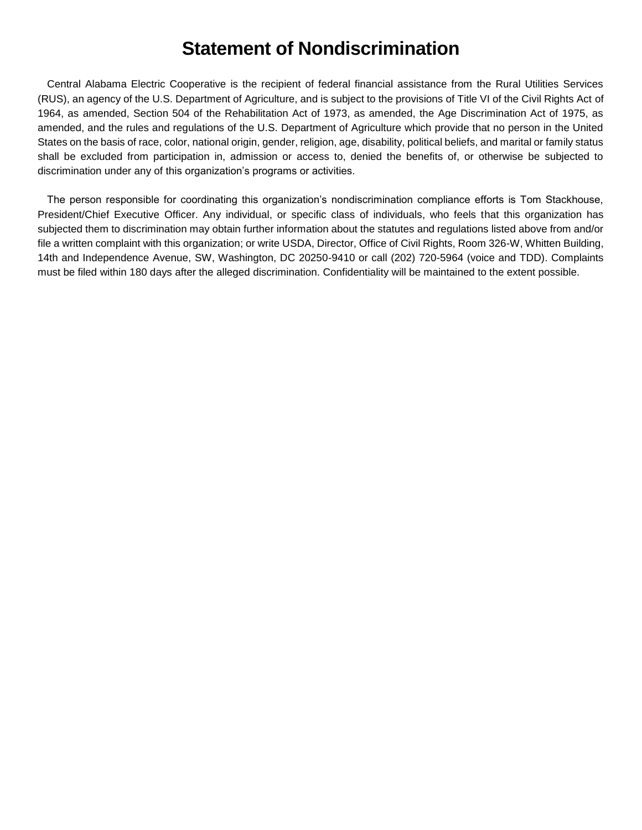# **Statement of Nondiscrimination**

Central Alabama Electric Cooperative is the recipient of federal financial assistance from the Rural Utilities Services (RUS), an agency of the U.S. Department of Agriculture, and is subject to the provisions of Title VI of the Civil Rights Act of 1964, as amended, Section 504 of the Rehabilitation Act of 1973, as amended, the Age Discrimination Act of 1975, as amended, and the rules and regulations of the U.S. Department of Agriculture which provide that no person in the United States on the basis of race, color, national origin, gender, religion, age, disability, political beliefs, and marital or family status shall be excluded from participation in, admission or access to, denied the benefits of, or otherwise be subjected to discrimination under any of this organization's programs or activities.

The person responsible for coordinating this organization's nondiscrimination compliance efforts is Tom Stackhouse, President/Chief Executive Officer. Any individual, or specific class of individuals, who feels that this organization has subjected them to discrimination may obtain further information about the statutes and regulations listed above from and/or file a written complaint with this organization; or write USDA, Director, Office of Civil Rights, Room 326-W, Whitten Building, 14th and Independence Avenue, SW, Washington, DC 20250-9410 or call (202) 720-5964 (voice and TDD). Complaints must be filed within 180 days after the alleged discrimination. Confidentiality will be maintained to the extent possible.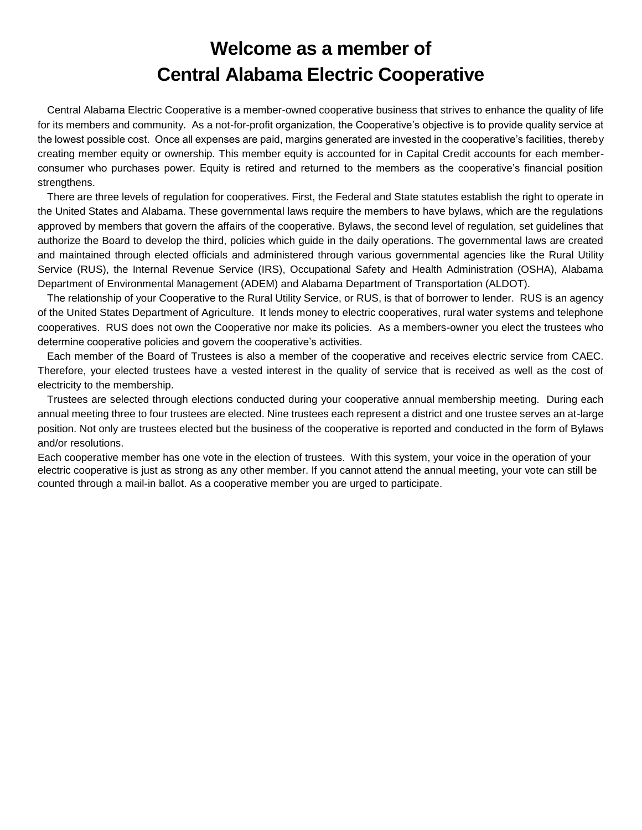# **Welcome as a member of Central Alabama Electric Cooperative**

Central Alabama Electric Cooperative is a member-owned cooperative business that strives to enhance the quality of life for its members and community. As a not-for-profit organization, the Cooperative's objective is to provide quality service at the lowest possible cost. Once all expenses are paid, margins generated are invested in the cooperative's facilities, thereby creating member equity or ownership. This member equity is accounted for in Capital Credit accounts for each memberconsumer who purchases power. Equity is retired and returned to the members as the cooperative's financial position strengthens.

There are three levels of regulation for cooperatives. First, the Federal and State statutes establish the right to operate in the United States and Alabama. These governmental laws require the members to have bylaws, which are the regulations approved by members that govern the affairs of the cooperative. Bylaws, the second level of regulation, set guidelines that authorize the Board to develop the third, policies which guide in the daily operations. The governmental laws are created and maintained through elected officials and administered through various governmental agencies like the Rural Utility Service (RUS), the Internal Revenue Service (IRS), Occupational Safety and Health Administration (OSHA), Alabama Department of Environmental Management (ADEM) and Alabama Department of Transportation (ALDOT).

The relationship of your Cooperative to the Rural Utility Service, or RUS, is that of borrower to lender. RUS is an agency of the United States Department of Agriculture. It lends money to electric cooperatives, rural water systems and telephone cooperatives. RUS does not own the Cooperative nor make its policies. As a members-owner you elect the trustees who determine cooperative policies and govern the cooperative's activities.

Each member of the Board of Trustees is also a member of the cooperative and receives electric service from CAEC. Therefore, your elected trustees have a vested interest in the quality of service that is received as well as the cost of electricity to the membership.

Trustees are selected through elections conducted during your cooperative annual membership meeting. During each annual meeting three to four trustees are elected. Nine trustees each represent a district and one trustee serves an at-large position. Not only are trustees elected but the business of the cooperative is reported and conducted in the form of Bylaws and/or resolutions.

Each cooperative member has one vote in the election of trustees. With this system, your voice in the operation of your electric cooperative is just as strong as any other member. If you cannot attend the annual meeting, your vote can still be counted through a mail-in ballot. As a cooperative member you are urged to participate.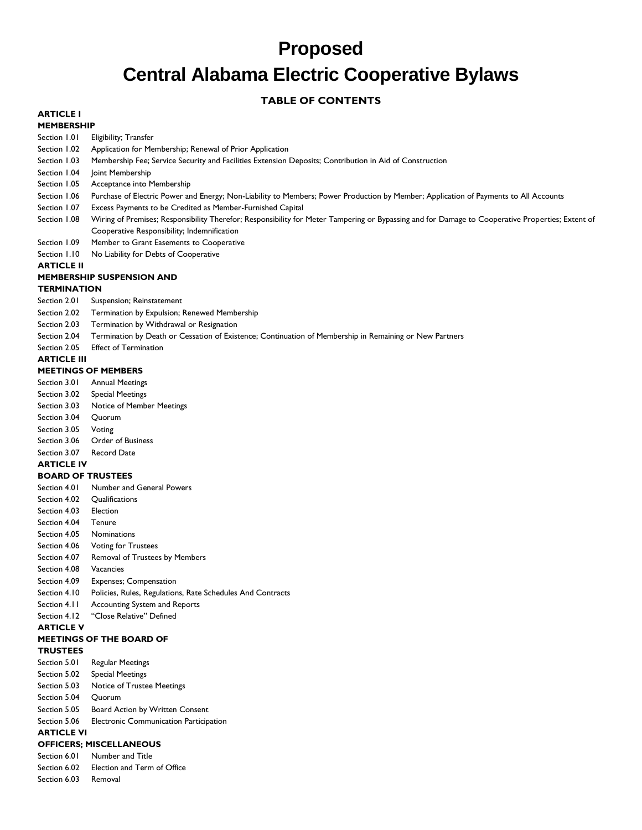# **Proposed Central Alabama Electric Cooperative Bylaws**

# **TABLE OF CONTENTS**

#### **ARTICLE I MEMBERSHIP**

Section 1.01 Eligibility; Transfer

- Section 1.02 Application for Membership; Renewal of Prior Application
- Section 1.03 Membership Fee; Service Security and Facilities Extension Deposits; Contribution in Aid of Construction
- Section 1.04 Joint Membership
- Section 1.05 Acceptance into Membership
- Section 1.06 Purchase of Electric Power and Energy; Non-Liability to Members; Power Production by Member; Application of Payments to All Accounts
- Section 1.07 Excess Payments to be Credited as Member-Furnished Capital
- Section 1.08 Wiring of Premises; Responsibility Therefor; Responsibility for Meter Tampering or Bypassing and for Damage to Cooperative Properties; Extent of Cooperative Responsibility; Indemnification
- Section 1.09 Member to Grant Easements to Cooperative
- Section 1.10 No Liability for Debts of Cooperative

## **ARTICLE II**

#### **MEMBERSHIP SUSPENSION AND**

#### **TERMINATION**

- Section 2.01 Suspension; Reinstatement
- Section 2.02 Termination by Expulsion; Renewed Membership
- Section 2.03 Termination by Withdrawal or Resignation
- Section 2.04 Termination by Death or Cessation of Existence; Continuation of Membership in Remaining or New Partners
- Section 2.05 Effect of Termination

#### **ARTICLE III**

#### **MEETINGS OF MEMBERS**

- Section 3.01 Annual Meetings
- Section 3.02 Special Meetings
- Section 3.03 Notice of Member Meetings
- Section 3.04 Quorum
- Section 3.05 Voting
- Section 3.06 Order of Business
- Section 3.07 Record Date

## **ARTICLE IV**

#### **BOARD OF TRUSTEES**

- Section 4.01 Number and General Powers
- Section 4.02 Qualifications
- Section 4.03 Election
- Section 4.04 Tenure
- Section 4.05 Nominations
- Section 4.06 Voting for Trustees
- Section 4.07 Removal of Trustees by Members
- Section 4.08 Vacancies
- Section 4.09 Expenses; Compensation
- Section 4.10 Policies, Rules, Regulations, Rate Schedules And Contracts
- Section 4.11 Accounting System and Reports
- Section 4.12 "Close Relative" Defined

# **ARTICLE V**

# **MEETINGS OF THE BOARD OF**

- **TRUSTEES**
- Section 5.01 Regular Meetings
- Section 5.02 Special Meetings
- Section 5.03 Notice of Trustee Meetings
- Section 5.04 Quorum
- Section 5.05 Board Action by Written Consent
- Section 5.06 Electronic Communication Participation

# **ARTICLE VI**

# **OFFICERS; MISCELLANEOUS**

- Section 6.01 Number and Title
- Section 6.02 Election and Term of Office
- Section 6.03 Removal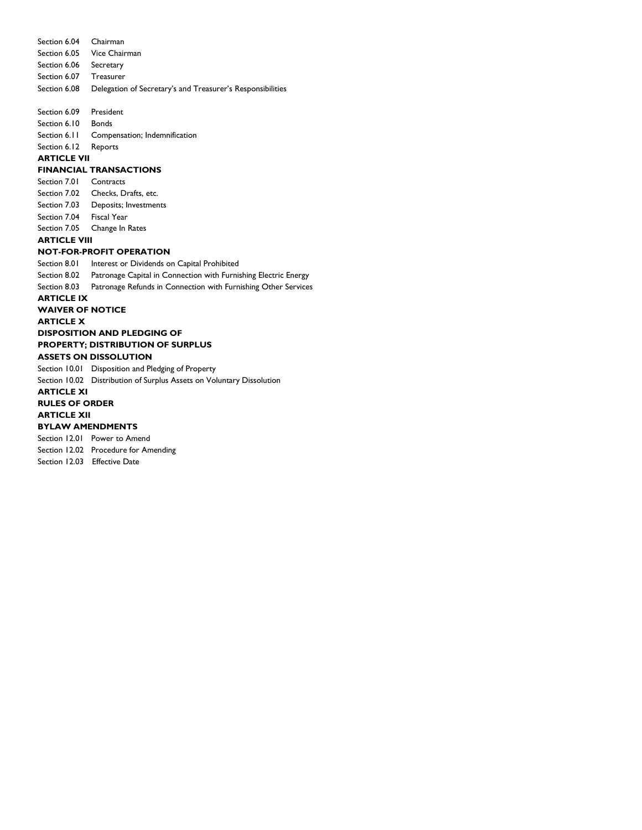Section 6.04 Chairman Section 6.05 Vice Chairman Section 6.06 Secretary Section 6.07 Treasurer Section 6.08 Delegation of Secretary's and Treasurer's Responsibilities Section 6.09 President Section 6.10 Bonds Section 6.11 Compensation; Indemnification Section 6.12 Reports **ARTICLE VII FINANCIAL TRANSACTIONS** Section 7.01 Contracts Section 7.02 Checks, Drafts, etc. Section 7.03 Deposits; Investments Section 7.04 Fiscal Year Section 7.05 Change In Rates **ARTICLE VIII NOT-FOR-PROFIT OPERATION** Section 8.01 Interest or Dividends on Capital Prohibited Section 8.02 Patronage Capital in Connection with Furnishing Electric Energy Section 8.03 Patronage Refunds in Connection with Furnishing Other Services **ARTICLE IX WAIVER OF NOTICE ARTICLE X DISPOSITION AND PLEDGING OF PROPERTY; DISTRIBUTION OF SURPLUS ASSETS ON DISSOLUTION** Section 10.01 Disposition and Pledging of Property Section 10.02 Distribution of Surplus Assets on Voluntary Dissolution **ARTICLE XI RULES OF ORDER ARTICLE XII BYLAW AMENDMENTS** Section 12.01 Power to Amend

Section 12.02 Procedure for Amending

Section 12.03 Effective Date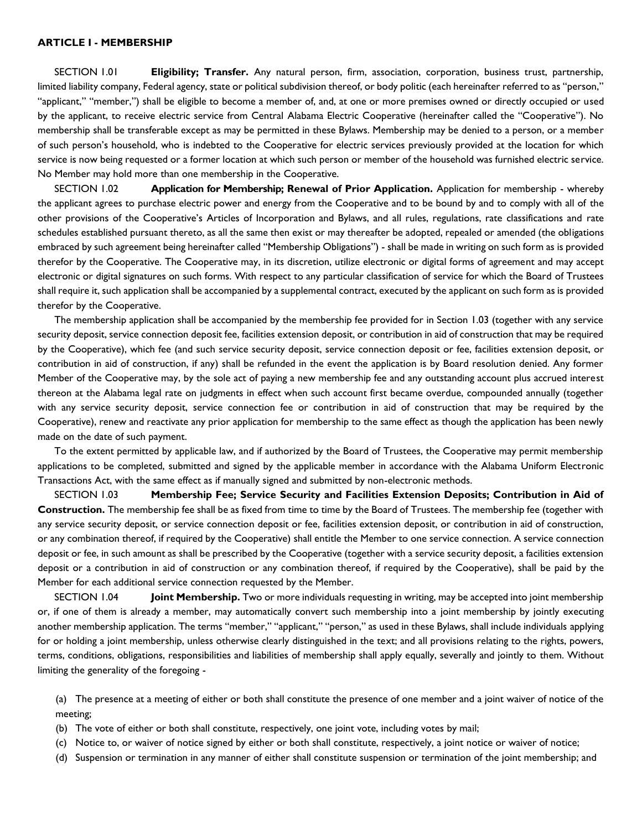#### **ARTICLE I - MEMBERSHIP**

SECTION 1.01 **Eligibility; Transfer.** Any natural person, firm, association, corporation, business trust, partnership, limited liability company, Federal agency, state or political subdivision thereof, or body politic (each hereinafter referred to as "person," "applicant," "member,") shall be eligible to become a member of, and, at one or more premises owned or directly occupied or used by the applicant, to receive electric service from Central Alabama Electric Cooperative (hereinafter called the "Cooperative"). No membership shall be transferable except as may be permitted in these Bylaws. Membership may be denied to a person, or a member of such person's household, who is indebted to the Cooperative for electric services previously provided at the location for which service is now being requested or a former location at which such person or member of the household was furnished electric service. No Member may hold more than one membership in the Cooperative.

SECTION 1.02 **Application for Membership; Renewal of Prior Application.** Application for membership - whereby the applicant agrees to purchase electric power and energy from the Cooperative and to be bound by and to comply with all of the other provisions of the Cooperative's Articles of Incorporation and Bylaws, and all rules, regulations, rate classifications and rate schedules established pursuant thereto, as all the same then exist or may thereafter be adopted, repealed or amended (the obligations embraced by such agreement being hereinafter called "Membership Obligations") - shall be made in writing on such form as is provided therefor by the Cooperative. The Cooperative may, in its discretion, utilize electronic or digital forms of agreement and may accept electronic or digital signatures on such forms. With respect to any particular classification of service for which the Board of Trustees shall require it, such application shall be accompanied by a supplemental contract, executed by the applicant on such form as is provided therefor by the Cooperative.

The membership application shall be accompanied by the membership fee provided for in Section 1.03 (together with any service security deposit, service connection deposit fee, facilities extension deposit, or contribution in aid of construction that may be required by the Cooperative), which fee (and such service security deposit, service connection deposit or fee, facilities extension deposit, or contribution in aid of construction, if any) shall be refunded in the event the application is by Board resolution denied. Any former Member of the Cooperative may, by the sole act of paying a new membership fee and any outstanding account plus accrued interest thereon at the Alabama legal rate on judgments in effect when such account first became overdue, compounded annually (together with any service security deposit, service connection fee or contribution in aid of construction that may be required by the Cooperative), renew and reactivate any prior application for membership to the same effect as though the application has been newly made on the date of such payment.

To the extent permitted by applicable law, and if authorized by the Board of Trustees, the Cooperative may permit membership applications to be completed, submitted and signed by the applicable member in accordance with the Alabama Uniform Electronic Transactions Act, with the same effect as if manually signed and submitted by non-electronic methods.

SECTION 1.03 **Membership Fee; Service Security and Facilities Extension Deposits; Contribution in Aid of Construction.** The membership fee shall be as fixed from time to time by the Board of Trustees. The membership fee (together with any service security deposit, or service connection deposit or fee, facilities extension deposit, or contribution in aid of construction, or any combination thereof, if required by the Cooperative) shall entitle the Member to one service connection. A service connection deposit or fee, in such amount as shall be prescribed by the Cooperative (together with a service security deposit, a facilities extension deposit or a contribution in aid of construction or any combination thereof, if required by the Cooperative), shall be paid by the Member for each additional service connection requested by the Member.

SECTION 1.04 **Joint Membership.** Two or more individuals requesting in writing, may be accepted into joint membership or, if one of them is already a member, may automatically convert such membership into a joint membership by jointly executing another membership application. The terms "member," "applicant," "person," as used in these Bylaws, shall include individuals applying for or holding a joint membership, unless otherwise clearly distinguished in the text; and all provisions relating to the rights, powers, terms, conditions, obligations, responsibilities and liabilities of membership shall apply equally, severally and jointly to them. Without limiting the generality of the foregoing -

(a) The presence at a meeting of either or both shall constitute the presence of one member and a joint waiver of notice of the meeting;

- (b) The vote of either or both shall constitute, respectively, one joint vote, including votes by mail;
- (c) Notice to, or waiver of notice signed by either or both shall constitute, respectively, a joint notice or waiver of notice;
- (d) Suspension or termination in any manner of either shall constitute suspension or termination of the joint membership; and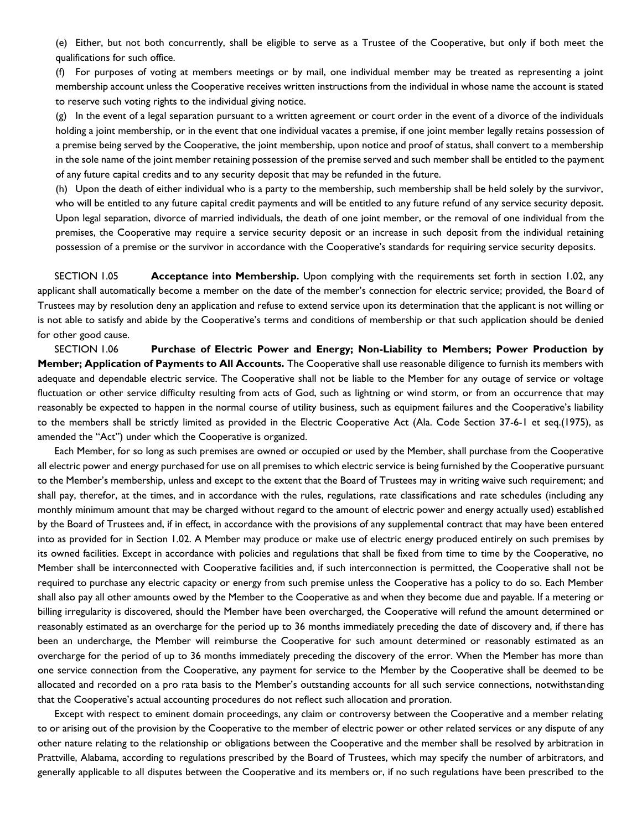(e) Either, but not both concurrently, shall be eligible to serve as a Trustee of the Cooperative, but only if both meet the qualifications for such office.

(f) For purposes of voting at members meetings or by mail, one individual member may be treated as representing a joint membership account unless the Cooperative receives written instructions from the individual in whose name the account is stated to reserve such voting rights to the individual giving notice.

 $(g)$  In the event of a legal separation pursuant to a written agreement or court order in the event of a divorce of the individuals holding a joint membership, or in the event that one individual vacates a premise, if one joint member legally retains possession of a premise being served by the Cooperative, the joint membership, upon notice and proof of status, shall convert to a membership in the sole name of the joint member retaining possession of the premise served and such member shall be entitled to the payment of any future capital credits and to any security deposit that may be refunded in the future.

(h) Upon the death of either individual who is a party to the membership, such membership shall be held solely by the survivor, who will be entitled to any future capital credit payments and will be entitled to any future refund of any service security deposit. Upon legal separation, divorce of married individuals, the death of one joint member, or the removal of one individual from the premises, the Cooperative may require a service security deposit or an increase in such deposit from the individual retaining possession of a premise or the survivor in accordance with the Cooperative's standards for requiring service security deposits.

SECTION 1.05 **Acceptance into Membership.** Upon complying with the requirements set forth in section 1.02, any applicant shall automatically become a member on the date of the member's connection for electric service; provided, the Board of Trustees may by resolution deny an application and refuse to extend service upon its determination that the applicant is not willing or is not able to satisfy and abide by the Cooperative's terms and conditions of membership or that such application should be denied for other good cause.

SECTION 1.06 **Purchase of Electric Power and Energy; Non-Liability to Members; Power Production by Member; Application of Payments to All Accounts.** The Cooperative shall use reasonable diligence to furnish its members with adequate and dependable electric service. The Cooperative shall not be liable to the Member for any outage of service or voltage fluctuation or other service difficulty resulting from acts of God, such as lightning or wind storm, or from an occurrence that may reasonably be expected to happen in the normal course of utility business, such as equipment failures and the Cooperative's liability to the members shall be strictly limited as provided in the Electric Cooperative Act (Ala. Code Section 37-6-1 et seq.(1975), as amended the "Act") under which the Cooperative is organized.

Each Member, for so long as such premises are owned or occupied or used by the Member, shall purchase from the Cooperative all electric power and energy purchased for use on all premises to which electric service is being furnished by the Cooperative pursuant to the Member's membership, unless and except to the extent that the Board of Trustees may in writing waive such requirement; and shall pay, therefor, at the times, and in accordance with the rules, regulations, rate classifications and rate schedules (including any monthly minimum amount that may be charged without regard to the amount of electric power and energy actually used) established by the Board of Trustees and, if in effect, in accordance with the provisions of any supplemental contract that may have been entered into as provided for in Section 1.02. A Member may produce or make use of electric energy produced entirely on such premises by its owned facilities. Except in accordance with policies and regulations that shall be fixed from time to time by the Cooperative, no Member shall be interconnected with Cooperative facilities and, if such interconnection is permitted, the Cooperative shall not be required to purchase any electric capacity or energy from such premise unless the Cooperative has a policy to do so. Each Member shall also pay all other amounts owed by the Member to the Cooperative as and when they become due and payable. If a metering or billing irregularity is discovered, should the Member have been overcharged, the Cooperative will refund the amount determined or reasonably estimated as an overcharge for the period up to 36 months immediately preceding the date of discovery and, if there has been an undercharge, the Member will reimburse the Cooperative for such amount determined or reasonably estimated as an overcharge for the period of up to 36 months immediately preceding the discovery of the error. When the Member has more than one service connection from the Cooperative, any payment for service to the Member by the Cooperative shall be deemed to be allocated and recorded on a pro rata basis to the Member's outstanding accounts for all such service connections, notwithstanding that the Cooperative's actual accounting procedures do not reflect such allocation and proration.

Except with respect to eminent domain proceedings, any claim or controversy between the Cooperative and a member relating to or arising out of the provision by the Cooperative to the member of electric power or other related services or any dispute of any other nature relating to the relationship or obligations between the Cooperative and the member shall be resolved by arbitration in Prattville, Alabama, according to regulations prescribed by the Board of Trustees, which may specify the number of arbitrators, and generally applicable to all disputes between the Cooperative and its members or, if no such regulations have been prescribed to the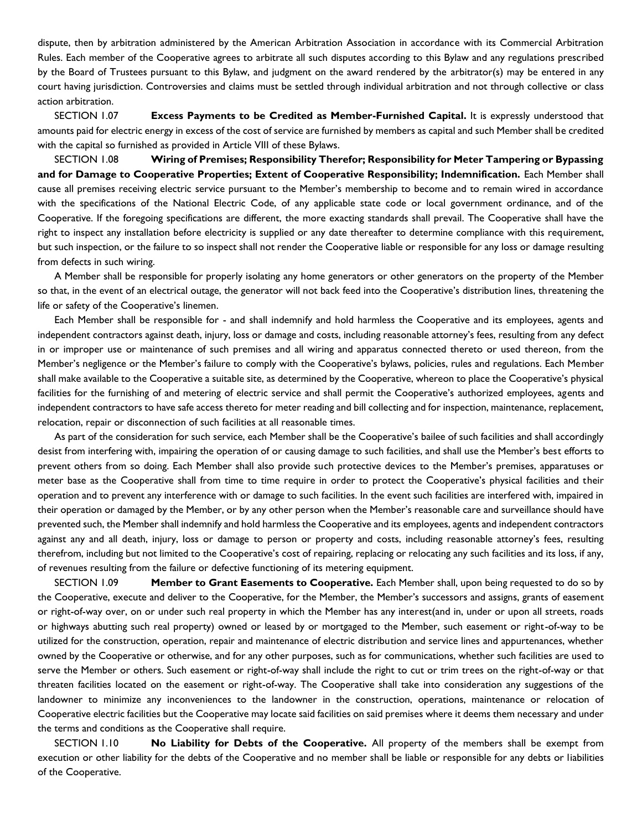dispute, then by arbitration administered by the American Arbitration Association in accordance with its Commercial Arbitration Rules. Each member of the Cooperative agrees to arbitrate all such disputes according to this Bylaw and any regulations prescribed by the Board of Trustees pursuant to this Bylaw, and judgment on the award rendered by the arbitrator(s) may be entered in any court having jurisdiction. Controversies and claims must be settled through individual arbitration and not through collective or class action arbitration.

SECTION 1.07 **Excess Payments to be Credited as Member-Furnished Capital.** It is expressly understood that amounts paid for electric energy in excess of the cost of service are furnished by members as capital and such Member shall be credited with the capital so furnished as provided in Article VIII of these Bylaws.

SECTION 1.08 **Wiring of Premises; Responsibility Therefor; Responsibility for Meter Tampering or Bypassing and for Damage to Cooperative Properties; Extent of Cooperative Responsibility; Indemnification.** Each Member shall cause all premises receiving electric service pursuant to the Member's membership to become and to remain wired in accordance with the specifications of the National Electric Code, of any applicable state code or local government ordinance, and of the Cooperative. If the foregoing specifications are different, the more exacting standards shall prevail. The Cooperative shall have the right to inspect any installation before electricity is supplied or any date thereafter to determine compliance with this requirement, but such inspection, or the failure to so inspect shall not render the Cooperative liable or responsible for any loss or damage resulting from defects in such wiring.

A Member shall be responsible for properly isolating any home generators or other generators on the property of the Member so that, in the event of an electrical outage, the generator will not back feed into the Cooperative's distribution lines, threatening the life or safety of the Cooperative's linemen.

Each Member shall be responsible for - and shall indemnify and hold harmless the Cooperative and its employees, agents and independent contractors against death, injury, loss or damage and costs, including reasonable attorney's fees, resulting from any defect in or improper use or maintenance of such premises and all wiring and apparatus connected thereto or used thereon, from the Member's negligence or the Member's failure to comply with the Cooperative's bylaws, policies, rules and regulations. Each Member shall make available to the Cooperative a suitable site, as determined by the Cooperative, whereon to place the Cooperative's physical facilities for the furnishing of and metering of electric service and shall permit the Cooperative's authorized employees, agents and independent contractors to have safe access thereto for meter reading and bill collecting and for inspection, maintenance, replacement, relocation, repair or disconnection of such facilities at all reasonable times.

As part of the consideration for such service, each Member shall be the Cooperative's bailee of such facilities and shall accordingly desist from interfering with, impairing the operation of or causing damage to such facilities, and shall use the Member's best efforts to prevent others from so doing. Each Member shall also provide such protective devices to the Member's premises, apparatuses or meter base as the Cooperative shall from time to time require in order to protect the Cooperative's physical facilities and their operation and to prevent any interference with or damage to such facilities. In the event such facilities are interfered with, impaired in their operation or damaged by the Member, or by any other person when the Member's reasonable care and surveillance should have prevented such, the Member shall indemnify and hold harmless the Cooperative and its employees, agents and independent contractors against any and all death, injury, loss or damage to person or property and costs, including reasonable attorney's fees, resulting therefrom, including but not limited to the Cooperative's cost of repairing, replacing or relocating any such facilities and its loss, if any, of revenues resulting from the failure or defective functioning of its metering equipment.

SECTION 1.09 **Member to Grant Easements to Cooperative.** Each Member shall, upon being requested to do so by the Cooperative, execute and deliver to the Cooperative, for the Member, the Member's successors and assigns, grants of easement or right-of-way over, on or under such real property in which the Member has any interest(and in, under or upon all streets, roads or highways abutting such real property) owned or leased by or mortgaged to the Member, such easement or right-of-way to be utilized for the construction, operation, repair and maintenance of electric distribution and service lines and appurtenances, whether owned by the Cooperative or otherwise, and for any other purposes, such as for communications, whether such facilities are used to serve the Member or others. Such easement or right-of-way shall include the right to cut or trim trees on the right-of-way or that threaten facilities located on the easement or right-of-way. The Cooperative shall take into consideration any suggestions of the landowner to minimize any inconveniences to the landowner in the construction, operations, maintenance or relocation of Cooperative electric facilities but the Cooperative may locate said facilities on said premises where it deems them necessary and under the terms and conditions as the Cooperative shall require.

SECTION 1.10 **No Liability for Debts of the Cooperative.** All property of the members shall be exempt from execution or other liability for the debts of the Cooperative and no member shall be liable or responsible for any debts or liabilities of the Cooperative.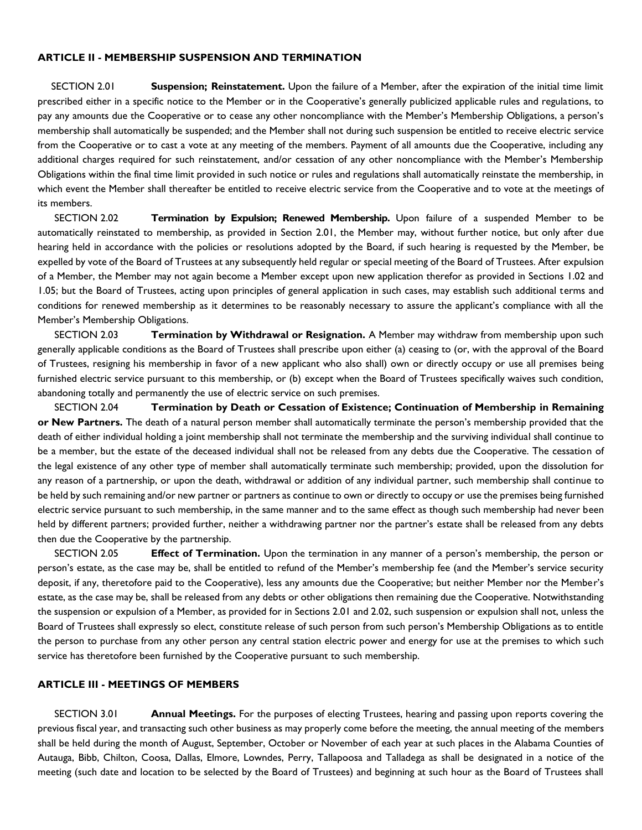### **ARTICLE II - MEMBERSHIP SUSPENSION AND TERMINATION**

SECTION 2.01 **Suspension; Reinstatement.** Upon the failure of a Member, after the expiration of the initial time limit prescribed either in a specific notice to the Member or in the Cooperative's generally publicized applicable rules and regulations, to pay any amounts due the Cooperative or to cease any other noncompliance with the Member's Membership Obligations, a person's membership shall automatically be suspended; and the Member shall not during such suspension be entitled to receive electric service from the Cooperative or to cast a vote at any meeting of the members. Payment of all amounts due the Cooperative, including any additional charges required for such reinstatement, and/or cessation of any other noncompliance with the Member's Membership Obligations within the final time limit provided in such notice or rules and regulations shall automatically reinstate the membership, in which event the Member shall thereafter be entitled to receive electric service from the Cooperative and to vote at the meetings of its members.

SECTION 2.02 **Termination by Expulsion; Renewed Membership.** Upon failure of a suspended Member to be automatically reinstated to membership, as provided in Section 2.01, the Member may, without further notice, but only after due hearing held in accordance with the policies or resolutions adopted by the Board, if such hearing is requested by the Member, be expelled by vote of the Board of Trustees at any subsequently held regular or special meeting of the Board of Trustees. After expulsion of a Member, the Member may not again become a Member except upon new application therefor as provided in Sections 1.02 and 1.05; but the Board of Trustees, acting upon principles of general application in such cases, may establish such additional terms and conditions for renewed membership as it determines to be reasonably necessary to assure the applicant's compliance with all the Member's Membership Obligations.

SECTION 2.03 **Termination by Withdrawal or Resignation.** A Member may withdraw from membership upon such generally applicable conditions as the Board of Trustees shall prescribe upon either (a) ceasing to (or, with the approval of the Board of Trustees, resigning his membership in favor of a new applicant who also shall) own or directly occupy or use all premises being furnished electric service pursuant to this membership, or (b) except when the Board of Trustees specifically waives such condition, abandoning totally and permanently the use of electric service on such premises.

SECTION 2.04 **Termination by Death or Cessation of Existence; Continuation of Membership in Remaining or New Partners.** The death of a natural person member shall automatically terminate the person's membership provided that the death of either individual holding a joint membership shall not terminate the membership and the surviving individual shall continue to be a member, but the estate of the deceased individual shall not be released from any debts due the Cooperative. The cessation of the legal existence of any other type of member shall automatically terminate such membership; provided, upon the dissolution for any reason of a partnership, or upon the death, withdrawal or addition of any individual partner, such membership shall continue to be held by such remaining and/or new partner or partners as continue to own or directly to occupy or use the premises being furnished electric service pursuant to such membership, in the same manner and to the same effect as though such membership had never been held by different partners; provided further, neither a withdrawing partner nor the partner's estate shall be released from any debts then due the Cooperative by the partnership.

SECTION 2.05 **Effect of Termination.** Upon the termination in any manner of a person's membership, the person or person's estate, as the case may be, shall be entitled to refund of the Member's membership fee (and the Member's service security deposit, if any, theretofore paid to the Cooperative), less any amounts due the Cooperative; but neither Member nor the Member's estate, as the case may be, shall be released from any debts or other obligations then remaining due the Cooperative. Notwithstanding the suspension or expulsion of a Member, as provided for in Sections 2.01 and 2.02, such suspension or expulsion shall not, unless the Board of Trustees shall expressly so elect, constitute release of such person from such person's Membership Obligations as to entitle the person to purchase from any other person any central station electric power and energy for use at the premises to which such service has theretofore been furnished by the Cooperative pursuant to such membership.

#### **ARTICLE III - MEETINGS OF MEMBERS**

SECTION 3.01 **Annual Meetings.** For the purposes of electing Trustees, hearing and passing upon reports covering the previous fiscal year, and transacting such other business as may properly come before the meeting, the annual meeting of the members shall be held during the month of August, September, October or November of each year at such places in the Alabama Counties of Autauga, Bibb, Chilton, Coosa, Dallas, Elmore, Lowndes, Perry, Tallapoosa and Talladega as shall be designated in a notice of the meeting (such date and location to be selected by the Board of Trustees) and beginning at such hour as the Board of Trustees shall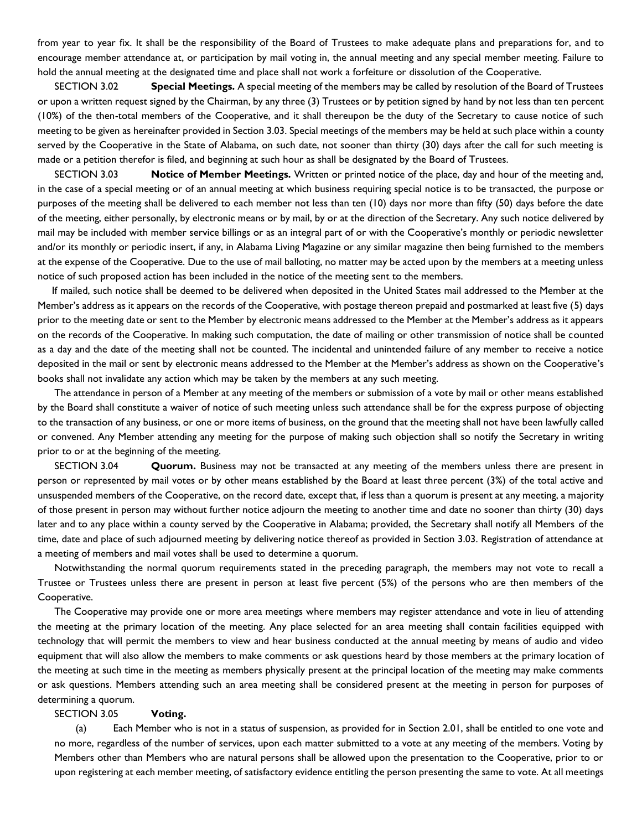from year to year fix. It shall be the responsibility of the Board of Trustees to make adequate plans and preparations for, and to encourage member attendance at, or participation by mail voting in, the annual meeting and any special member meeting. Failure to hold the annual meeting at the designated time and place shall not work a forfeiture or dissolution of the Cooperative.

SECTION 3.02 **Special Meetings.** A special meeting of the members may be called by resolution of the Board of Trustees or upon a written request signed by the Chairman, by any three (3) Trustees or by petition signed by hand by not less than ten percent (10%) of the then-total members of the Cooperative, and it shall thereupon be the duty of the Secretary to cause notice of such meeting to be given as hereinafter provided in Section 3.03. Special meetings of the members may be held at such place within a county served by the Cooperative in the State of Alabama, on such date, not sooner than thirty (30) days after the call for such meeting is made or a petition therefor is filed, and beginning at such hour as shall be designated by the Board of Trustees.

SECTION 3.03 **Notice of Member Meetings.** Written or printed notice of the place, day and hour of the meeting and, in the case of a special meeting or of an annual meeting at which business requiring special notice is to be transacted, the purpose or purposes of the meeting shall be delivered to each member not less than ten (10) days nor more than fifty (50) days before the date of the meeting, either personally, by electronic means or by mail, by or at the direction of the Secretary. Any such notice delivered by mail may be included with member service billings or as an integral part of or with the Cooperative's monthly or periodic newsletter and/or its monthly or periodic insert, if any, in Alabama Living Magazine or any similar magazine then being furnished to the members at the expense of the Cooperative. Due to the use of mail balloting, no matter may be acted upon by the members at a meeting unless notice of such proposed action has been included in the notice of the meeting sent to the members.

If mailed, such notice shall be deemed to be delivered when deposited in the United States mail addressed to the Member at the Member's address as it appears on the records of the Cooperative, with postage thereon prepaid and postmarked at least five (5) days prior to the meeting date or sent to the Member by electronic means addressed to the Member at the Member's address as it appears on the records of the Cooperative. In making such computation, the date of mailing or other transmission of notice shall be counted as a day and the date of the meeting shall not be counted. The incidental and unintended failure of any member to receive a notice deposited in the mail or sent by electronic means addressed to the Member at the Member's address as shown on the Cooperative's books shall not invalidate any action which may be taken by the members at any such meeting.

The attendance in person of a Member at any meeting of the members or submission of a vote by mail or other means established by the Board shall constitute a waiver of notice of such meeting unless such attendance shall be for the express purpose of objecting to the transaction of any business, or one or more items of business, on the ground that the meeting shall not have been lawfully called or convened. Any Member attending any meeting for the purpose of making such objection shall so notify the Secretary in writing prior to or at the beginning of the meeting.

SECTION 3.04 **Quorum.** Business may not be transacted at any meeting of the members unless there are present in person or represented by mail votes or by other means established by the Board at least three percent (3%) of the total active and unsuspended members of the Cooperative, on the record date, except that, if less than a quorum is present at any meeting, a majority of those present in person may without further notice adjourn the meeting to another time and date no sooner than thirty (30) days later and to any place within a county served by the Cooperative in Alabama; provided, the Secretary shall notify all Members of the time, date and place of such adjourned meeting by delivering notice thereof as provided in Section 3.03. Registration of attendance at a meeting of members and mail votes shall be used to determine a quorum.

Notwithstanding the normal quorum requirements stated in the preceding paragraph, the members may not vote to recall a Trustee or Trustees unless there are present in person at least five percent (5%) of the persons who are then members of the Cooperative.

The Cooperative may provide one or more area meetings where members may register attendance and vote in lieu of attending the meeting at the primary location of the meeting. Any place selected for an area meeting shall contain facilities equipped with technology that will permit the members to view and hear business conducted at the annual meeting by means of audio and video equipment that will also allow the members to make comments or ask questions heard by those members at the primary location of the meeting at such time in the meeting as members physically present at the principal location of the meeting may make comments or ask questions. Members attending such an area meeting shall be considered present at the meeting in person for purposes of determining a quorum.

### SECTION 3.05 **Voting.**

(a) Each Member who is not in a status of suspension, as provided for in Section 2.01, shall be entitled to one vote and no more, regardless of the number of services, upon each matter submitted to a vote at any meeting of the members. Voting by Members other than Members who are natural persons shall be allowed upon the presentation to the Cooperative, prior to or upon registering at each member meeting, of satisfactory evidence entitling the person presenting the same to vote. At all meetings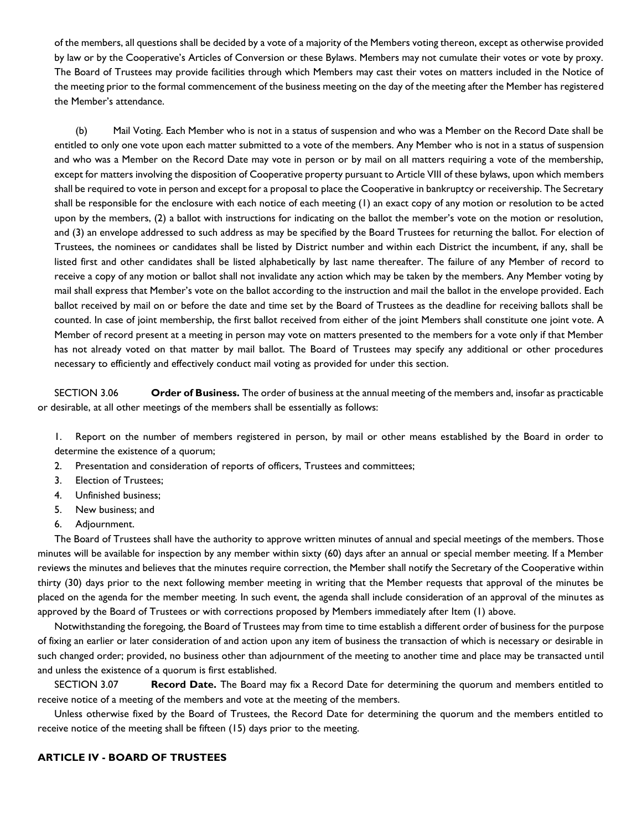of the members, all questions shall be decided by a vote of a majority of the Members voting thereon, except as otherwise provided by law or by the Cooperative's Articles of Conversion or these Bylaws. Members may not cumulate their votes or vote by proxy. The Board of Trustees may provide facilities through which Members may cast their votes on matters included in the Notice of the meeting prior to the formal commencement of the business meeting on the day of the meeting after the Member has registered the Member's attendance.

(b) Mail Voting. Each Member who is not in a status of suspension and who was a Member on the Record Date shall be entitled to only one vote upon each matter submitted to a vote of the members. Any Member who is not in a status of suspension and who was a Member on the Record Date may vote in person or by mail on all matters requiring a vote of the membership, except for matters involving the disposition of Cooperative property pursuant to Article VIII of these bylaws, upon which members shall be required to vote in person and except for a proposal to place the Cooperative in bankruptcy or receivership. The Secretary shall be responsible for the enclosure with each notice of each meeting (1) an exact copy of any motion or resolution to be acted upon by the members, (2) a ballot with instructions for indicating on the ballot the member's vote on the motion or resolution, and (3) an envelope addressed to such address as may be specified by the Board Trustees for returning the ballot. For election of Trustees, the nominees or candidates shall be listed by District number and within each District the incumbent, if any, shall be listed first and other candidates shall be listed alphabetically by last name thereafter. The failure of any Member of record to receive a copy of any motion or ballot shall not invalidate any action which may be taken by the members. Any Member voting by mail shall express that Member's vote on the ballot according to the instruction and mail the ballot in the envelope provided. Each ballot received by mail on or before the date and time set by the Board of Trustees as the deadline for receiving ballots shall be counted. In case of joint membership, the first ballot received from either of the joint Members shall constitute one joint vote. A Member of record present at a meeting in person may vote on matters presented to the members for a vote only if that Member has not already voted on that matter by mail ballot. The Board of Trustees may specify any additional or other procedures necessary to efficiently and effectively conduct mail voting as provided for under this section.

SECTION 3.06 **Order of Business.** The order of business at the annual meeting of the members and, insofar as practicable or desirable, at all other meetings of the members shall be essentially as follows:

1. Report on the number of members registered in person, by mail or other means established by the Board in order to determine the existence of a quorum;

- 2. Presentation and consideration of reports of officers, Trustees and committees;
- 3. Election of Trustees;
- 4. Unfinished business;
- 5. New business; and
- 6. Adjournment.

The Board of Trustees shall have the authority to approve written minutes of annual and special meetings of the members. Those minutes will be available for inspection by any member within sixty (60) days after an annual or special member meeting. If a Member reviews the minutes and believes that the minutes require correction, the Member shall notify the Secretary of the Cooperative within thirty (30) days prior to the next following member meeting in writing that the Member requests that approval of the minutes be placed on the agenda for the member meeting. In such event, the agenda shall include consideration of an approval of the minutes as approved by the Board of Trustees or with corrections proposed by Members immediately after Item (1) above.

Notwithstanding the foregoing, the Board of Trustees may from time to time establish a different order of business for the purpose of fixing an earlier or later consideration of and action upon any item of business the transaction of which is necessary or desirable in such changed order; provided, no business other than adjournment of the meeting to another time and place may be transacted until and unless the existence of a quorum is first established.

SECTION 3.07 **Record Date.** The Board may fix a Record Date for determining the quorum and members entitled to receive notice of a meeting of the members and vote at the meeting of the members.

Unless otherwise fixed by the Board of Trustees, the Record Date for determining the quorum and the members entitled to receive notice of the meeting shall be fifteen (15) days prior to the meeting.

# **ARTICLE IV - BOARD OF TRUSTEES**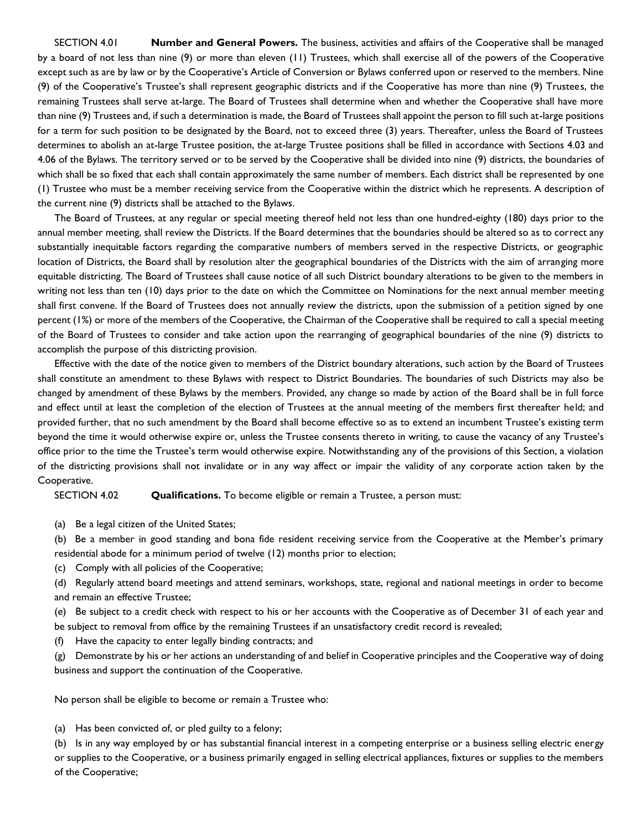SECTION 4.01 **Number and General Powers.** The business, activities and affairs of the Cooperative shall be managed by a board of not less than nine (9) or more than eleven (11) Trustees, which shall exercise all of the powers of the Cooperative except such as are by law or by the Cooperative's Article of Conversion or Bylaws conferred upon or reserved to the members. Nine (9) of the Cooperative's Trustee's shall represent geographic districts and if the Cooperative has more than nine (9) Trustees, the remaining Trustees shall serve at-large. The Board of Trustees shall determine when and whether the Cooperative shall have more than nine (9) Trustees and, if such a determination is made, the Board of Trustees shall appoint the person to fill such at-large positions for a term for such position to be designated by the Board, not to exceed three (3) years. Thereafter, unless the Board of Trustees determines to abolish an at-large Trustee position, the at-large Trustee positions shall be filled in accordance with Sections 4.03 and 4.06 of the Bylaws. The territory served or to be served by the Cooperative shall be divided into nine (9) districts, the boundaries of which shall be so fixed that each shall contain approximately the same number of members. Each district shall be represented by one (1) Trustee who must be a member receiving service from the Cooperative within the district which he represents. A description of the current nine (9) districts shall be attached to the Bylaws.

The Board of Trustees, at any regular or special meeting thereof held not less than one hundred-eighty (180) days prior to the annual member meeting, shall review the Districts. If the Board determines that the boundaries should be altered so as to correct any substantially inequitable factors regarding the comparative numbers of members served in the respective Districts, or geographic location of Districts, the Board shall by resolution alter the geographical boundaries of the Districts with the aim of arranging more equitable districting. The Board of Trustees shall cause notice of all such District boundary alterations to be given to the members in writing not less than ten (10) days prior to the date on which the Committee on Nominations for the next annual member meeting shall first convene. If the Board of Trustees does not annually review the districts, upon the submission of a petition signed by one percent (1%) or more of the members of the Cooperative, the Chairman of the Cooperative shall be required to call a special meeting of the Board of Trustees to consider and take action upon the rearranging of geographical boundaries of the nine (9) districts to accomplish the purpose of this districting provision.

Effective with the date of the notice given to members of the District boundary alterations, such action by the Board of Trustees shall constitute an amendment to these Bylaws with respect to District Boundaries. The boundaries of such Districts may also be changed by amendment of these Bylaws by the members. Provided, any change so made by action of the Board shall be in full force and effect until at least the completion of the election of Trustees at the annual meeting of the members first thereafter held; and provided further, that no such amendment by the Board shall become effective so as to extend an incumbent Trustee's existing term beyond the time it would otherwise expire or, unless the Trustee consents thereto in writing, to cause the vacancy of any Trustee's office prior to the time the Trustee's term would otherwise expire. Notwithstanding any of the provisions of this Section, a violation of the districting provisions shall not invalidate or in any way affect or impair the validity of any corporate action taken by the Cooperative.

SECTION 4.02 **Qualifications.** To become eligible or remain a Trustee, a person must:

(a) Be a legal citizen of the United States;

(b) Be a member in good standing and bona fide resident receiving service from the Cooperative at the Member's primary residential abode for a minimum period of twelve (12) months prior to election;

(c) Comply with all policies of the Cooperative;

(d) Regularly attend board meetings and attend seminars, workshops, state, regional and national meetings in order to become and remain an effective Trustee;

(e) Be subject to a credit check with respect to his or her accounts with the Cooperative as of December 31 of each year and be subject to removal from office by the remaining Trustees if an unsatisfactory credit record is revealed;

(f) Have the capacity to enter legally binding contracts; and

(g) Demonstrate by his or her actions an understanding of and belief in Cooperative principles and the Cooperative way of doing business and support the continuation of the Cooperative.

No person shall be eligible to become or remain a Trustee who:

(a) Has been convicted of, or pled guilty to a felony;

(b) Is in any way employed by or has substantial financial interest in a competing enterprise or a business selling electric energy or supplies to the Cooperative, or a business primarily engaged in selling electrical appliances, fixtures or supplies to the members of the Cooperative;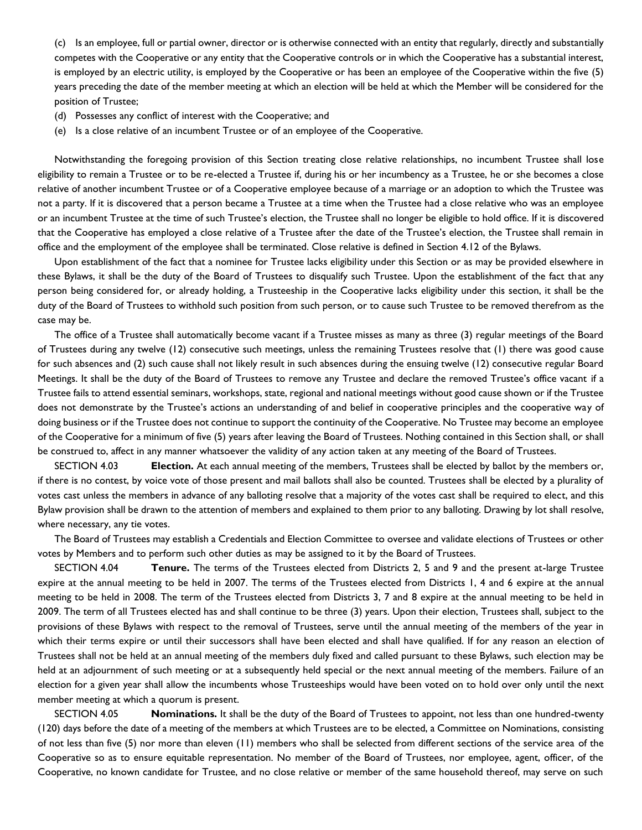(c) Is an employee, full or partial owner, director or is otherwise connected with an entity that regularly, directly and substantially competes with the Cooperative or any entity that the Cooperative controls or in which the Cooperative has a substantial interest, is employed by an electric utility, is employed by the Cooperative or has been an employee of the Cooperative within the five (5) years preceding the date of the member meeting at which an election will be held at which the Member will be considered for the position of Trustee;

- (d) Possesses any conflict of interest with the Cooperative; and
- (e) Is a close relative of an incumbent Trustee or of an employee of the Cooperative.

Notwithstanding the foregoing provision of this Section treating close relative relationships, no incumbent Trustee shall lose eligibility to remain a Trustee or to be re-elected a Trustee if, during his or her incumbency as a Trustee, he or she becomes a close relative of another incumbent Trustee or of a Cooperative employee because of a marriage or an adoption to which the Trustee was not a party. If it is discovered that a person became a Trustee at a time when the Trustee had a close relative who was an employee or an incumbent Trustee at the time of such Trustee's election, the Trustee shall no longer be eligible to hold office. If it is discovered that the Cooperative has employed a close relative of a Trustee after the date of the Trustee's election, the Trustee shall remain in office and the employment of the employee shall be terminated. Close relative is defined in Section 4.12 of the Bylaws.

Upon establishment of the fact that a nominee for Trustee lacks eligibility under this Section or as may be provided elsewhere in these Bylaws, it shall be the duty of the Board of Trustees to disqualify such Trustee. Upon the establishment of the fact that any person being considered for, or already holding, a Trusteeship in the Cooperative lacks eligibility under this section, it shall be the duty of the Board of Trustees to withhold such position from such person, or to cause such Trustee to be removed therefrom as the case may be.

The office of a Trustee shall automatically become vacant if a Trustee misses as many as three (3) regular meetings of the Board of Trustees during any twelve (12) consecutive such meetings, unless the remaining Trustees resolve that (1) there was good cause for such absences and (2) such cause shall not likely result in such absences during the ensuing twelve (12) consecutive regular Board Meetings. It shall be the duty of the Board of Trustees to remove any Trustee and declare the removed Trustee's office vacant if a Trustee fails to attend essential seminars, workshops, state, regional and national meetings without good cause shown or if the Trustee does not demonstrate by the Trustee's actions an understanding of and belief in cooperative principles and the cooperative way of doing business or if the Trustee does not continue to support the continuity of the Cooperative. No Trustee may become an employee of the Cooperative for a minimum of five (5) years after leaving the Board of Trustees. Nothing contained in this Section shall, or shall be construed to, affect in any manner whatsoever the validity of any action taken at any meeting of the Board of Trustees.

SECTION 4.03 **Election.** At each annual meeting of the members, Trustees shall be elected by ballot by the members or, if there is no contest, by voice vote of those present and mail ballots shall also be counted. Trustees shall be elected by a plurality of votes cast unless the members in advance of any balloting resolve that a majority of the votes cast shall be required to elect, and this Bylaw provision shall be drawn to the attention of members and explained to them prior to any balloting. Drawing by lot shall resolve, where necessary, any tie votes.

The Board of Trustees may establish a Credentials and Election Committee to oversee and validate elections of Trustees or other votes by Members and to perform such other duties as may be assigned to it by the Board of Trustees.

SECTION 4.04 **Tenure.** The terms of the Trustees elected from Districts 2, 5 and 9 and the present at-large Trustee expire at the annual meeting to be held in 2007. The terms of the Trustees elected from Districts 1, 4 and 6 expire at the annual meeting to be held in 2008. The term of the Trustees elected from Districts 3, 7 and 8 expire at the annual meeting to be held in 2009. The term of all Trustees elected has and shall continue to be three (3) years. Upon their election, Trustees shall, subject to the provisions of these Bylaws with respect to the removal of Trustees, serve until the annual meeting of the members of the year in which their terms expire or until their successors shall have been elected and shall have qualified. If for any reason an election of Trustees shall not be held at an annual meeting of the members duly fixed and called pursuant to these Bylaws, such election may be held at an adjournment of such meeting or at a subsequently held special or the next annual meeting of the members. Failure of an election for a given year shall allow the incumbents whose Trusteeships would have been voted on to hold over only until the next member meeting at which a quorum is present.

SECTION 4.05 **Nominations.** It shall be the duty of the Board of Trustees to appoint, not less than one hundred-twenty (120) days before the date of a meeting of the members at which Trustees are to be elected, a Committee on Nominations, consisting of not less than five (5) nor more than eleven (11) members who shall be selected from different sections of the service area of the Cooperative so as to ensure equitable representation. No member of the Board of Trustees, nor employee, agent, officer, of the Cooperative, no known candidate for Trustee, and no close relative or member of the same household thereof, may serve on such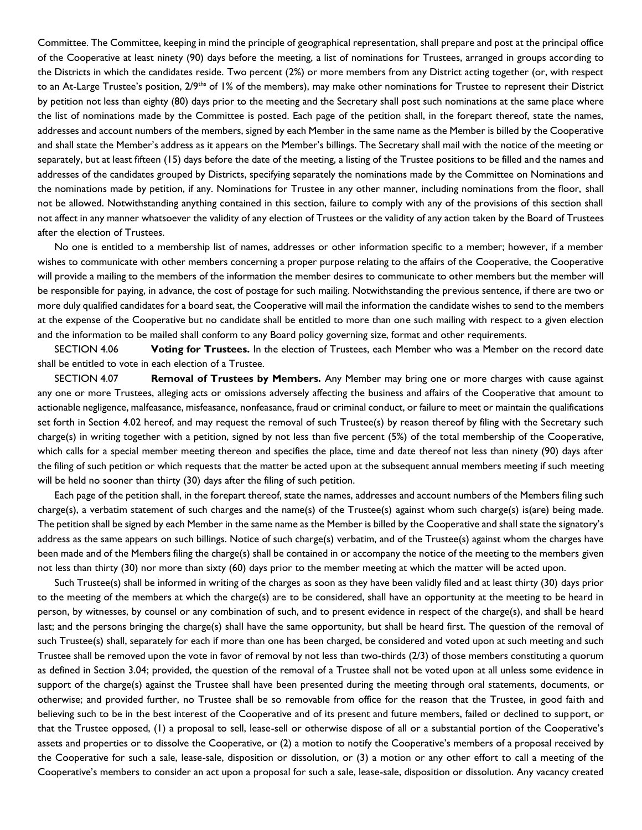Committee. The Committee, keeping in mind the principle of geographical representation, shall prepare and post at the principal office of the Cooperative at least ninety (90) days before the meeting, a list of nominations for Trustees, arranged in groups according to the Districts in which the candidates reside. Two percent (2%) or more members from any District acting together (or, with respect to an At-Large Trustee's position, 2/9<sup>ths</sup> of 1% of the members), may make other nominations for Trustee to represent their District by petition not less than eighty (80) days prior to the meeting and the Secretary shall post such nominations at the same place where the list of nominations made by the Committee is posted. Each page of the petition shall, in the forepart thereof, state the names, addresses and account numbers of the members, signed by each Member in the same name as the Member is billed by the Cooperative and shall state the Member's address as it appears on the Member's billings. The Secretary shall mail with the notice of the meeting or separately, but at least fifteen (15) days before the date of the meeting, a listing of the Trustee positions to be filled and the names and addresses of the candidates grouped by Districts, specifying separately the nominations made by the Committee on Nominations and the nominations made by petition, if any. Nominations for Trustee in any other manner, including nominations from the floor, shall not be allowed. Notwithstanding anything contained in this section, failure to comply with any of the provisions of this section shall not affect in any manner whatsoever the validity of any election of Trustees or the validity of any action taken by the Board of Trustees after the election of Trustees.

No one is entitled to a membership list of names, addresses or other information specific to a member; however, if a member wishes to communicate with other members concerning a proper purpose relating to the affairs of the Cooperative, the Cooperative will provide a mailing to the members of the information the member desires to communicate to other members but the member will be responsible for paying, in advance, the cost of postage for such mailing. Notwithstanding the previous sentence, if there are two or more duly qualified candidates for a board seat, the Cooperative will mail the information the candidate wishes to send to the members at the expense of the Cooperative but no candidate shall be entitled to more than one such mailing with respect to a given election and the information to be mailed shall conform to any Board policy governing size, format and other requirements.

SECTION 4.06 **Voting for Trustees.** In the election of Trustees, each Member who was a Member on the record date shall be entitled to vote in each election of a Trustee.

SECTION 4.07 **Removal of Trustees by Members.** Any Member may bring one or more charges with cause against any one or more Trustees, alleging acts or omissions adversely affecting the business and affairs of the Cooperative that amount to actionable negligence, malfeasance, misfeasance, nonfeasance, fraud or criminal conduct, or failure to meet or maintain the qualifications set forth in Section 4.02 hereof, and may request the removal of such Trustee(s) by reason thereof by filing with the Secretary such charge(s) in writing together with a petition, signed by not less than five percent (5%) of the total membership of the Cooperative, which calls for a special member meeting thereon and specifies the place, time and date thereof not less than ninety (90) days after the filing of such petition or which requests that the matter be acted upon at the subsequent annual members meeting if such meeting will be held no sooner than thirty (30) days after the filing of such petition.

Each page of the petition shall, in the forepart thereof, state the names, addresses and account numbers of the Members filing such charge(s), a verbatim statement of such charges and the name(s) of the Trustee(s) against whom such charge(s) is(are) being made. The petition shall be signed by each Member in the same name as the Member is billed by the Cooperative and shall state the signatory's address as the same appears on such billings. Notice of such charge(s) verbatim, and of the Trustee(s) against whom the charges have been made and of the Members filing the charge(s) shall be contained in or accompany the notice of the meeting to the members given not less than thirty (30) nor more than sixty (60) days prior to the member meeting at which the matter will be acted upon.

Such Trustee(s) shall be informed in writing of the charges as soon as they have been validly filed and at least thirty (30) days prior to the meeting of the members at which the charge(s) are to be considered, shall have an opportunity at the meeting to be heard in person, by witnesses, by counsel or any combination of such, and to present evidence in respect of the charge(s), and shall be heard last; and the persons bringing the charge(s) shall have the same opportunity, but shall be heard first. The question of the removal of such Trustee(s) shall, separately for each if more than one has been charged, be considered and voted upon at such meeting and such Trustee shall be removed upon the vote in favor of removal by not less than two-thirds (2/3) of those members constituting a quorum as defined in Section 3.04; provided, the question of the removal of a Trustee shall not be voted upon at all unless some evidence in support of the charge(s) against the Trustee shall have been presented during the meeting through oral statements, documents, or otherwise; and provided further, no Trustee shall be so removable from office for the reason that the Trustee, in good faith and believing such to be in the best interest of the Cooperative and of its present and future members, failed or declined to support, or that the Trustee opposed, (1) a proposal to sell, lease-sell or otherwise dispose of all or a substantial portion of the Cooperative's assets and properties or to dissolve the Cooperative, or (2) a motion to notify the Cooperative's members of a proposal received by the Cooperative for such a sale, lease-sale, disposition or dissolution, or (3) a motion or any other effort to call a meeting of the Cooperative's members to consider an act upon a proposal for such a sale, lease-sale, disposition or dissolution. Any vacancy created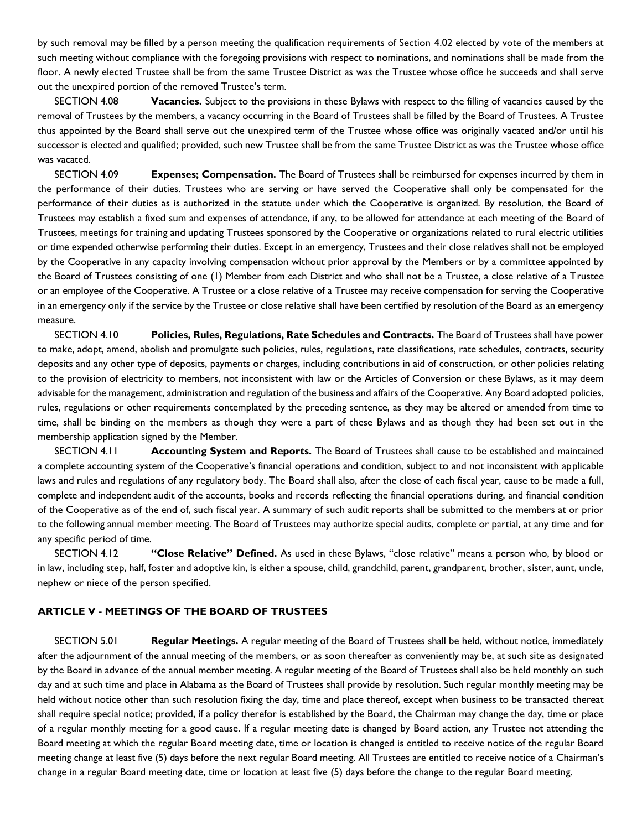by such removal may be filled by a person meeting the qualification requirements of Section 4.02 elected by vote of the members at such meeting without compliance with the foregoing provisions with respect to nominations, and nominations shall be made from the floor. A newly elected Trustee shall be from the same Trustee District as was the Trustee whose office he succeeds and shall serve out the unexpired portion of the removed Trustee's term.

SECTION 4.08 **Vacancies.** Subject to the provisions in these Bylaws with respect to the filling of vacancies caused by the removal of Trustees by the members, a vacancy occurring in the Board of Trustees shall be filled by the Board of Trustees. A Trustee thus appointed by the Board shall serve out the unexpired term of the Trustee whose office was originally vacated and/or until his successor is elected and qualified; provided, such new Trustee shall be from the same Trustee District as was the Trustee whose office was vacated.

SECTION 4.09 **Expenses; Compensation.** The Board of Trustees shall be reimbursed for expenses incurred by them in the performance of their duties. Trustees who are serving or have served the Cooperative shall only be compensated for the performance of their duties as is authorized in the statute under which the Cooperative is organized. By resolution, the Board of Trustees may establish a fixed sum and expenses of attendance, if any, to be allowed for attendance at each meeting of the Board of Trustees, meetings for training and updating Trustees sponsored by the Cooperative or organizations related to rural electric utilities or time expended otherwise performing their duties. Except in an emergency, Trustees and their close relatives shall not be employed by the Cooperative in any capacity involving compensation without prior approval by the Members or by a committee appointed by the Board of Trustees consisting of one (1) Member from each District and who shall not be a Trustee, a close relative of a Trustee or an employee of the Cooperative. A Trustee or a close relative of a Trustee may receive compensation for serving the Cooperative in an emergency only if the service by the Trustee or close relative shall have been certified by resolution of the Board as an emergency measure.

SECTION 4.10 **Policies, Rules, Regulations, Rate Schedules and Contracts.** The Board of Trustees shall have power to make, adopt, amend, abolish and promulgate such policies, rules, regulations, rate classifications, rate schedules, contracts, security deposits and any other type of deposits, payments or charges, including contributions in aid of construction, or other policies relating to the provision of electricity to members, not inconsistent with law or the Articles of Conversion or these Bylaws, as it may deem advisable for the management, administration and regulation of the business and affairs of the Cooperative. Any Board adopted policies, rules, regulations or other requirements contemplated by the preceding sentence, as they may be altered or amended from time to time, shall be binding on the members as though they were a part of these Bylaws and as though they had been set out in the membership application signed by the Member.

SECTION 4.11 **Accounting System and Reports.** The Board of Trustees shall cause to be established and maintained a complete accounting system of the Cooperative's financial operations and condition, subject to and not inconsistent with applicable laws and rules and regulations of any regulatory body. The Board shall also, after the close of each fiscal year, cause to be made a full, complete and independent audit of the accounts, books and records reflecting the financial operations during, and financial condition of the Cooperative as of the end of, such fiscal year. A summary of such audit reports shall be submitted to the members at or prior to the following annual member meeting. The Board of Trustees may authorize special audits, complete or partial, at any time and for any specific period of time.

SECTION 4.12 **"Close Relative" Defined.** As used in these Bylaws, "close relative" means a person who, by blood or in law, including step, half, foster and adoptive kin, is either a spouse, child, grandchild, parent, grandparent, brother, sister, aunt, uncle, nephew or niece of the person specified.

# **ARTICLE V - MEETINGS OF THE BOARD OF TRUSTEES**

SECTION 5.01 **Regular Meetings.** A regular meeting of the Board of Trustees shall be held, without notice, immediately after the adjournment of the annual meeting of the members, or as soon thereafter as conveniently may be, at such site as designated by the Board in advance of the annual member meeting. A regular meeting of the Board of Trustees shall also be held monthly on such day and at such time and place in Alabama as the Board of Trustees shall provide by resolution. Such regular monthly meeting may be held without notice other than such resolution fixing the day, time and place thereof, except when business to be transacted thereat shall require special notice; provided, if a policy therefor is established by the Board, the Chairman may change the day, time or place of a regular monthly meeting for a good cause. If a regular meeting date is changed by Board action, any Trustee not attending the Board meeting at which the regular Board meeting date, time or location is changed is entitled to receive notice of the regular Board meeting change at least five (5) days before the next regular Board meeting. All Trustees are entitled to receive notice of a Chairman's change in a regular Board meeting date, time or location at least five (5) days before the change to the regular Board meeting.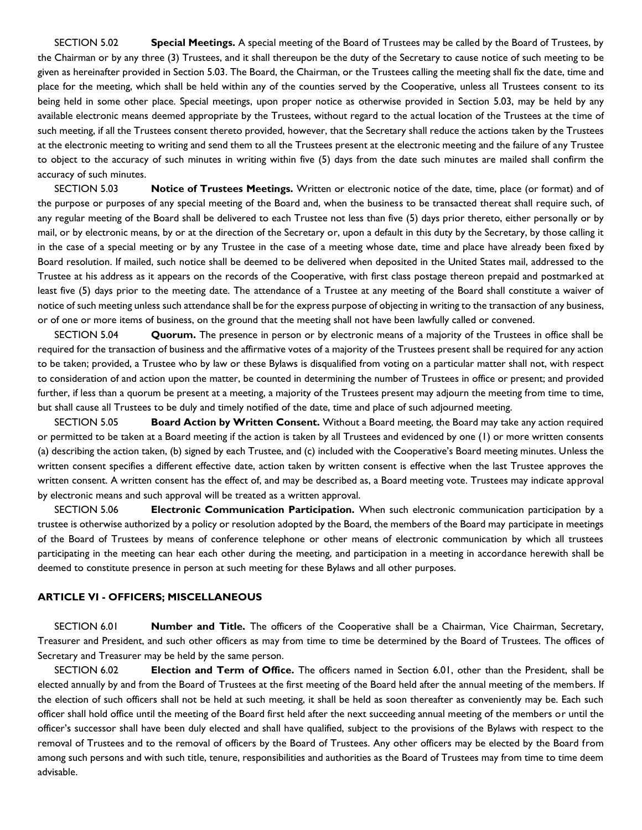SECTION 5.02 **Special Meetings.** A special meeting of the Board of Trustees may be called by the Board of Trustees, by the Chairman or by any three (3) Trustees, and it shall thereupon be the duty of the Secretary to cause notice of such meeting to be given as hereinafter provided in Section 5.03. The Board, the Chairman, or the Trustees calling the meeting shall fix the date, time and place for the meeting, which shall be held within any of the counties served by the Cooperative, unless all Trustees consent to its being held in some other place. Special meetings, upon proper notice as otherwise provided in Section 5.03, may be held by any available electronic means deemed appropriate by the Trustees, without regard to the actual location of the Trustees at the time of such meeting, if all the Trustees consent thereto provided, however, that the Secretary shall reduce the actions taken by the Trustees at the electronic meeting to writing and send them to all the Trustees present at the electronic meeting and the failure of any Trustee to object to the accuracy of such minutes in writing within five (5) days from the date such minutes are mailed shall confirm the accuracy of such minutes.

SECTION 5.03 **Notice of Trustees Meetings.** Written or electronic notice of the date, time, place (or format) and of the purpose or purposes of any special meeting of the Board and, when the business to be transacted thereat shall require such, of any regular meeting of the Board shall be delivered to each Trustee not less than five (5) days prior thereto, either personally or by mail, or by electronic means, by or at the direction of the Secretary or, upon a default in this duty by the Secretary, by those calling it in the case of a special meeting or by any Trustee in the case of a meeting whose date, time and place have already been fixed by Board resolution. If mailed, such notice shall be deemed to be delivered when deposited in the United States mail, addressed to the Trustee at his address as it appears on the records of the Cooperative, with first class postage thereon prepaid and postmarked at least five (5) days prior to the meeting date. The attendance of a Trustee at any meeting of the Board shall constitute a waiver of notice of such meeting unless such attendance shall be for the express purpose of objecting in writing to the transaction of any business, or of one or more items of business, on the ground that the meeting shall not have been lawfully called or convened.

SECTION 5.04 **Quorum.** The presence in person or by electronic means of a majority of the Trustees in office shall be required for the transaction of business and the affirmative votes of a majority of the Trustees present shall be required for any action to be taken; provided, a Trustee who by law or these Bylaws is disqualified from voting on a particular matter shall not, with respect to consideration of and action upon the matter, be counted in determining the number of Trustees in office or present; and provided further, if less than a quorum be present at a meeting, a majority of the Trustees present may adjourn the meeting from time to time, but shall cause all Trustees to be duly and timely notified of the date, time and place of such adjourned meeting.

SECTION 5.05 **Board Action by Written Consent.** Without a Board meeting, the Board may take any action required or permitted to be taken at a Board meeting if the action is taken by all Trustees and evidenced by one (1) or more written consents (a) describing the action taken, (b) signed by each Trustee, and (c) included with the Cooperative's Board meeting minutes. Unless the written consent specifies a different effective date, action taken by written consent is effective when the last Trustee approves the written consent. A written consent has the effect of, and may be described as, a Board meeting vote. Trustees may indicate approval by electronic means and such approval will be treated as a written approval.

SECTION 5.06 **Electronic Communication Participation.** When such electronic communication participation by a trustee is otherwise authorized by a policy or resolution adopted by the Board, the members of the Board may participate in meetings of the Board of Trustees by means of conference telephone or other means of electronic communication by which all trustees participating in the meeting can hear each other during the meeting, and participation in a meeting in accordance herewith shall be deemed to constitute presence in person at such meeting for these Bylaws and all other purposes.

## **ARTICLE VI - OFFICERS; MISCELLANEOUS**

SECTION 6.01 **Number and Title.** The officers of the Cooperative shall be a Chairman, Vice Chairman, Secretary, Treasurer and President, and such other officers as may from time to time be determined by the Board of Trustees. The offices of Secretary and Treasurer may be held by the same person.

SECTION 6.02 **Election and Term of Office.** The officers named in Section 6.01, other than the President, shall be elected annually by and from the Board of Trustees at the first meeting of the Board held after the annual meeting of the members. If the election of such officers shall not be held at such meeting, it shall be held as soon thereafter as conveniently may be. Each such officer shall hold office until the meeting of the Board first held after the next succeeding annual meeting of the members or until the officer's successor shall have been duly elected and shall have qualified, subject to the provisions of the Bylaws with respect to the removal of Trustees and to the removal of officers by the Board of Trustees. Any other officers may be elected by the Board from among such persons and with such title, tenure, responsibilities and authorities as the Board of Trustees may from time to time deem advisable.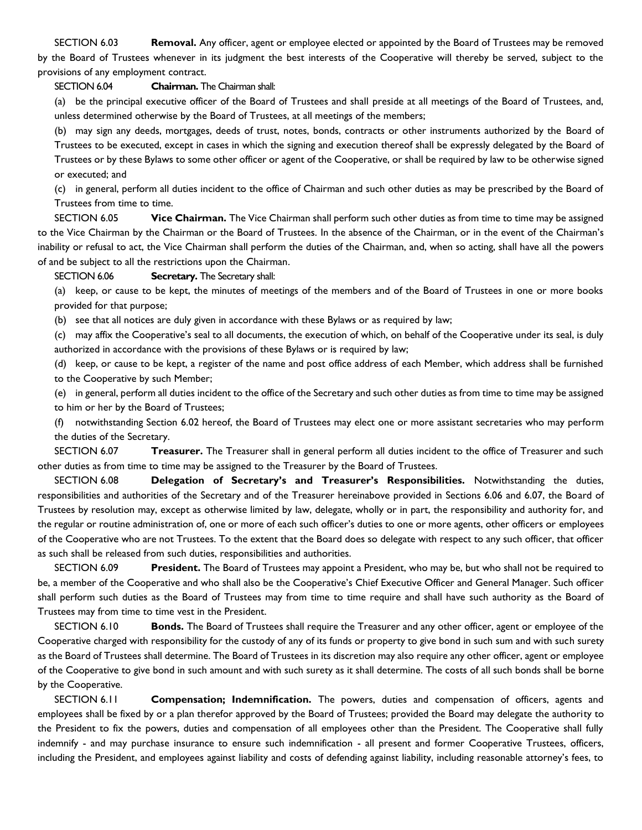SECTION 6.03 **Removal.** Any officer, agent or employee elected or appointed by the Board of Trustees may be removed by the Board of Trustees whenever in its judgment the best interests of the Cooperative will thereby be served, subject to the provisions of any employment contract.

# SECTION 6.04 **Chairman.** The Chairman shall:

(a) be the principal executive officer of the Board of Trustees and shall preside at all meetings of the Board of Trustees, and, unless determined otherwise by the Board of Trustees, at all meetings of the members;

(b) may sign any deeds, mortgages, deeds of trust, notes, bonds, contracts or other instruments authorized by the Board of Trustees to be executed, except in cases in which the signing and execution thereof shall be expressly delegated by the Board of Trustees or by these Bylaws to some other officer or agent of the Cooperative, or shall be required by law to be otherwise signed or executed; and

(c) in general, perform all duties incident to the office of Chairman and such other duties as may be prescribed by the Board of Trustees from time to time.

SECTION 6.05 **Vice Chairman.** The Vice Chairman shall perform such other duties as from time to time may be assigned to the Vice Chairman by the Chairman or the Board of Trustees. In the absence of the Chairman, or in the event of the Chairman's inability or refusal to act, the Vice Chairman shall perform the duties of the Chairman, and, when so acting, shall have all the powers of and be subject to all the restrictions upon the Chairman.

# SECTION 6.06 **Secretary.** The Secretary shall:

(a) keep, or cause to be kept, the minutes of meetings of the members and of the Board of Trustees in one or more books provided for that purpose;

(b) see that all notices are duly given in accordance with these Bylaws or as required by law;

(c) may affix the Cooperative's seal to all documents, the execution of which, on behalf of the Cooperative under its seal, is duly authorized in accordance with the provisions of these Bylaws or is required by law;

(d) keep, or cause to be kept, a register of the name and post office address of each Member, which address shall be furnished to the Cooperative by such Member;

(e) in general, perform all duties incident to the office of the Secretary and such other duties as from time to time may be assigned to him or her by the Board of Trustees;

(f) notwithstanding Section 6.02 hereof, the Board of Trustees may elect one or more assistant secretaries who may perform the duties of the Secretary.

SECTION 6.07 **Treasurer.** The Treasurer shall in general perform all duties incident to the office of Treasurer and such other duties as from time to time may be assigned to the Treasurer by the Board of Trustees.

SECTION 6.08 **Delegation of Secretary's and Treasurer's Responsibilities.** Notwithstanding the duties, responsibilities and authorities of the Secretary and of the Treasurer hereinabove provided in Sections 6.06 and 6.07, the Board of Trustees by resolution may, except as otherwise limited by law, delegate, wholly or in part, the responsibility and authority for, and the regular or routine administration of, one or more of each such officer's duties to one or more agents, other officers or employees of the Cooperative who are not Trustees. To the extent that the Board does so delegate with respect to any such officer, that officer as such shall be released from such duties, responsibilities and authorities.

SECTION 6.09 **President.** The Board of Trustees may appoint a President, who may be, but who shall not be required to be, a member of the Cooperative and who shall also be the Cooperative's Chief Executive Officer and General Manager. Such officer shall perform such duties as the Board of Trustees may from time to time require and shall have such authority as the Board of Trustees may from time to time vest in the President.

SECTION 6.10 **Bonds.** The Board of Trustees shall require the Treasurer and any other officer, agent or employee of the Cooperative charged with responsibility for the custody of any of its funds or property to give bond in such sum and with such surety as the Board of Trustees shall determine. The Board of Trustees in its discretion may also require any other officer, agent or employee of the Cooperative to give bond in such amount and with such surety as it shall determine. The costs of all such bonds shall be borne by the Cooperative.

SECTION 6.11 **Compensation; Indemnification.** The powers, duties and compensation of officers, agents and employees shall be fixed by or a plan therefor approved by the Board of Trustees; provided the Board may delegate the authority to the President to fix the powers, duties and compensation of all employees other than the President. The Cooperative shall fully indemnify - and may purchase insurance to ensure such indemnification - all present and former Cooperative Trustees, officers, including the President, and employees against liability and costs of defending against liability, including reasonable attorney's fees, to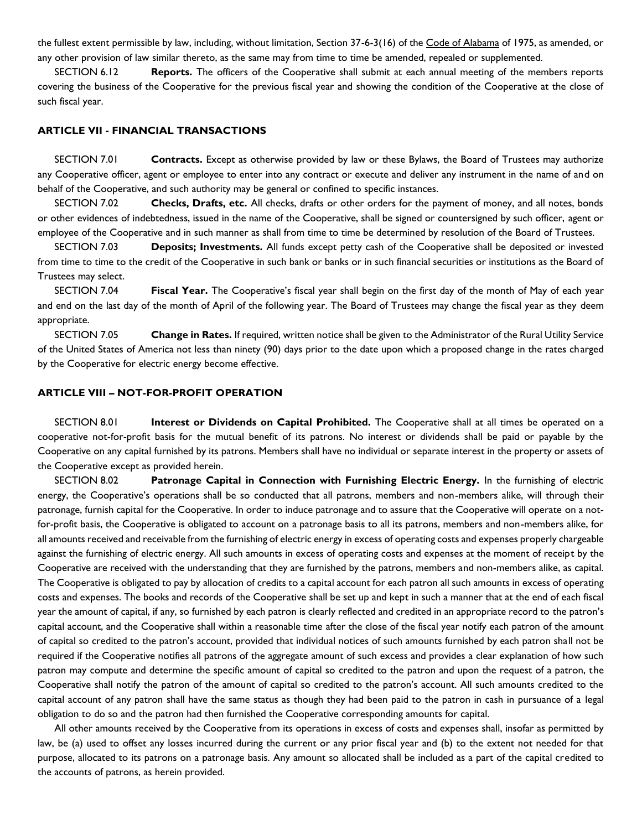the fullest extent permissible by law, including, without limitation, Section 37-6-3(16) of the Code of Alabama of 1975, as amended, or any other provision of law similar thereto, as the same may from time to time be amended, repealed or supplemented.

SECTION 6.12 **Reports.** The officers of the Cooperative shall submit at each annual meeting of the members reports covering the business of the Cooperative for the previous fiscal year and showing the condition of the Cooperative at the close of such fiscal year.

#### **ARTICLE VII - FINANCIAL TRANSACTIONS**

SECTION 7.01 **Contracts.** Except as otherwise provided by law or these Bylaws, the Board of Trustees may authorize any Cooperative officer, agent or employee to enter into any contract or execute and deliver any instrument in the name of and on behalf of the Cooperative, and such authority may be general or confined to specific instances.

SECTION 7.02 **Checks, Drafts, etc.** All checks, drafts or other orders for the payment of money, and all notes, bonds or other evidences of indebtedness, issued in the name of the Cooperative, shall be signed or countersigned by such officer, agent or employee of the Cooperative and in such manner as shall from time to time be determined by resolution of the Board of Trustees.

SECTION 7.03 **Deposits; Investments.** All funds except petty cash of the Cooperative shall be deposited or invested from time to time to the credit of the Cooperative in such bank or banks or in such financial securities or institutions as the Board of Trustees may select.

SECTION 7.04 **Fiscal Year.** The Cooperative's fiscal year shall begin on the first day of the month of May of each year and end on the last day of the month of April of the following year. The Board of Trustees may change the fiscal year as they deem appropriate.

SECTION 7.05 **Change in Rates.** If required, written notice shall be given to the Administrator of the Rural Utility Service of the United States of America not less than ninety (90) days prior to the date upon which a proposed change in the rates charged by the Cooperative for electric energy become effective.

#### **ARTICLE VIII – NOT-FOR-PROFIT OPERATION**

SECTION 8.01 **Interest or Dividends on Capital Prohibited.** The Cooperative shall at all times be operated on a cooperative not-for-profit basis for the mutual benefit of its patrons. No interest or dividends shall be paid or payable by the Cooperative on any capital furnished by its patrons. Members shall have no individual or separate interest in the property or assets of the Cooperative except as provided herein.

SECTION 8.02 **Patronage Capital in Connection with Furnishing Electric Energy.** In the furnishing of electric energy, the Cooperative's operations shall be so conducted that all patrons, members and non-members alike, will through their patronage, furnish capital for the Cooperative. In order to induce patronage and to assure that the Cooperative will operate on a notfor-profit basis, the Cooperative is obligated to account on a patronage basis to all its patrons, members and non-members alike, for all amounts received and receivable from the furnishing of electric energy in excess of operating costs and expenses properly chargeable against the furnishing of electric energy. All such amounts in excess of operating costs and expenses at the moment of receipt by the Cooperative are received with the understanding that they are furnished by the patrons, members and non-members alike, as capital. The Cooperative is obligated to pay by allocation of credits to a capital account for each patron all such amounts in excess of operating costs and expenses. The books and records of the Cooperative shall be set up and kept in such a manner that at the end of each fiscal year the amount of capital, if any, so furnished by each patron is clearly reflected and credited in an appropriate record to the patron's capital account, and the Cooperative shall within a reasonable time after the close of the fiscal year notify each patron of the amount of capital so credited to the patron's account, provided that individual notices of such amounts furnished by each patron shall not be required if the Cooperative notifies all patrons of the aggregate amount of such excess and provides a clear explanation of how such patron may compute and determine the specific amount of capital so credited to the patron and upon the request of a patron, the Cooperative shall notify the patron of the amount of capital so credited to the patron's account. All such amounts credited to the capital account of any patron shall have the same status as though they had been paid to the patron in cash in pursuance of a legal obligation to do so and the patron had then furnished the Cooperative corresponding amounts for capital.

All other amounts received by the Cooperative from its operations in excess of costs and expenses shall, insofar as permitted by law, be (a) used to offset any losses incurred during the current or any prior fiscal year and (b) to the extent not needed for that purpose, allocated to its patrons on a patronage basis. Any amount so allocated shall be included as a part of the capital credited to the accounts of patrons, as herein provided.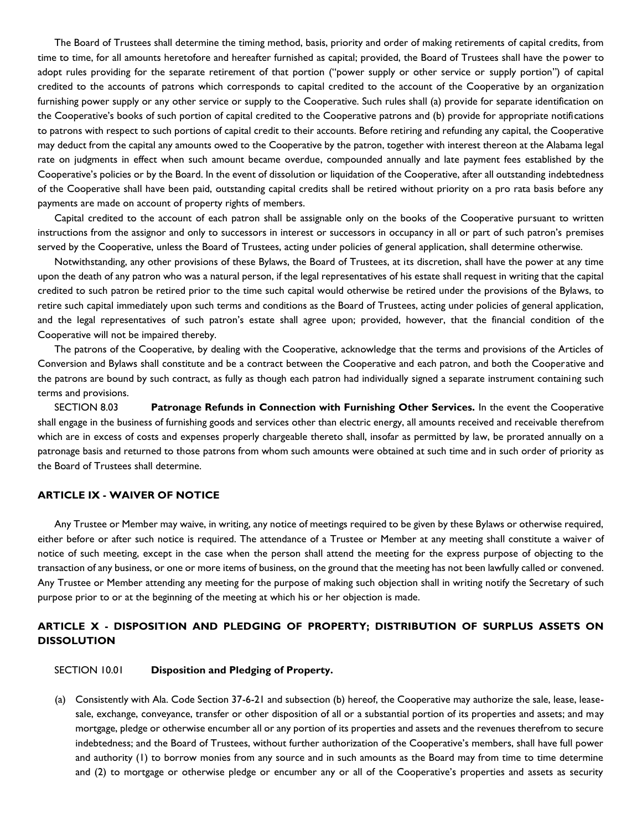The Board of Trustees shall determine the timing method, basis, priority and order of making retirements of capital credits, from time to time, for all amounts heretofore and hereafter furnished as capital; provided, the Board of Trustees shall have the power to adopt rules providing for the separate retirement of that portion ("power supply or other service or supply portion") of capital credited to the accounts of patrons which corresponds to capital credited to the account of the Cooperative by an organization furnishing power supply or any other service or supply to the Cooperative. Such rules shall (a) provide for separate identification on the Cooperative's books of such portion of capital credited to the Cooperative patrons and (b) provide for appropriate notifications to patrons with respect to such portions of capital credit to their accounts. Before retiring and refunding any capital, the Cooperative may deduct from the capital any amounts owed to the Cooperative by the patron, together with interest thereon at the Alabama legal rate on judgments in effect when such amount became overdue, compounded annually and late payment fees established by the Cooperative's policies or by the Board. In the event of dissolution or liquidation of the Cooperative, after all outstanding indebtedness of the Cooperative shall have been paid, outstanding capital credits shall be retired without priority on a pro rata basis before any payments are made on account of property rights of members.

Capital credited to the account of each patron shall be assignable only on the books of the Cooperative pursuant to written instructions from the assignor and only to successors in interest or successors in occupancy in all or part of such patron's premises served by the Cooperative, unless the Board of Trustees, acting under policies of general application, shall determine otherwise.

Notwithstanding, any other provisions of these Bylaws, the Board of Trustees, at its discretion, shall have the power at any time upon the death of any patron who was a natural person, if the legal representatives of his estate shall request in writing that the capital credited to such patron be retired prior to the time such capital would otherwise be retired under the provisions of the Bylaws, to retire such capital immediately upon such terms and conditions as the Board of Trustees, acting under policies of general application, and the legal representatives of such patron's estate shall agree upon; provided, however, that the financial condition of the Cooperative will not be impaired thereby.

The patrons of the Cooperative, by dealing with the Cooperative, acknowledge that the terms and provisions of the Articles of Conversion and Bylaws shall constitute and be a contract between the Cooperative and each patron, and both the Cooperative and the patrons are bound by such contract, as fully as though each patron had individually signed a separate instrument containing such terms and provisions.

SECTION 8.03 **Patronage Refunds in Connection with Furnishing Other Services.** In the event the Cooperative shall engage in the business of furnishing goods and services other than electric energy, all amounts received and receivable therefrom which are in excess of costs and expenses properly chargeable thereto shall, insofar as permitted by law, be prorated annually on a patronage basis and returned to those patrons from whom such amounts were obtained at such time and in such order of priority as the Board of Trustees shall determine.

### **ARTICLE IX - WAIVER OF NOTICE**

Any Trustee or Member may waive, in writing, any notice of meetings required to be given by these Bylaws or otherwise required, either before or after such notice is required. The attendance of a Trustee or Member at any meeting shall constitute a waiver of notice of such meeting, except in the case when the person shall attend the meeting for the express purpose of objecting to the transaction of any business, or one or more items of business, on the ground that the meeting has not been lawfully called or convened. Any Trustee or Member attending any meeting for the purpose of making such objection shall in writing notify the Secretary of such purpose prior to or at the beginning of the meeting at which his or her objection is made.

# **ARTICLE X - DISPOSITION AND PLEDGING OF PROPERTY; DISTRIBUTION OF SURPLUS ASSETS ON DISSOLUTION**

#### SECTION 10.01 **Disposition and Pledging of Property.**

(a) Consistently with Ala. Code Section 37-6-21 and subsection (b) hereof, the Cooperative may authorize the sale, lease, leasesale, exchange, conveyance, transfer or other disposition of all or a substantial portion of its properties and assets; and may mortgage, pledge or otherwise encumber all or any portion of its properties and assets and the revenues therefrom to secure indebtedness; and the Board of Trustees, without further authorization of the Cooperative's members, shall have full power and authority (1) to borrow monies from any source and in such amounts as the Board may from time to time determine and (2) to mortgage or otherwise pledge or encumber any or all of the Cooperative's properties and assets as security